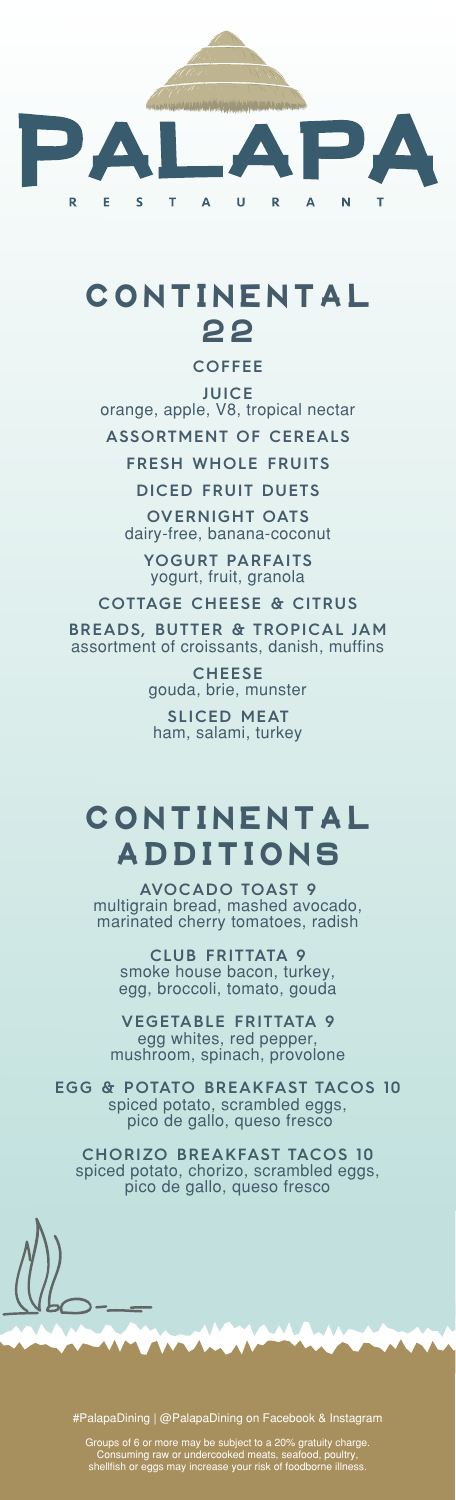

## **CONTINENTAL 2 2**

**COFFEE**

**JUICE** orange, apple, V8, tropical nectar **ASSORTMENT OF CEREALS FRESH WHOLE FRUITS**

**DICED FRUIT DUETS**

**OVERNIGHT OATS** dairy-free, banana-coconut

**YOGURT PARFAITS** yogurt, fruit, granola

**COTTAGE CHEESE & CITRUS**

**BREADS, BUTTER & TROPICAL JAM** assortment of croissants, danish, muffins

> **CHEESE** gouda, brie, munster **SLICED MEAT**  ham, salami, turkey

## **CONTINENTAL ADDITIONS**

**AVOCADO TOAST 9** multigrain bread, mashed avocado, marinated cherry tomatoes, radish

**CLUB FRITTATA 9** smoke house bacon, turkey, egg, broccoli, tomato, gouda

**VEGETABLE FRITTATA 9** egg whites, red pepper mushroom, spinach, provolone

**EGG & POTATO BREAKFAST TACOS 10** spiced potato, scrambled eggs, pico de gallo, queso fresco

**CHORIZO BREAKFAST TACOS 10** spiced potato, chorizo, scrambled eggs, pico de gallo, queso fresco

#PalapaDining | @PalapaDining on Facebook & Instagram

Groups of 6 or more may be subject to a 20% gratuity charge. Consuming raw or undercooked meats, seafood, poultry, shellfish or eggs may increase your risk of foodborne illness.